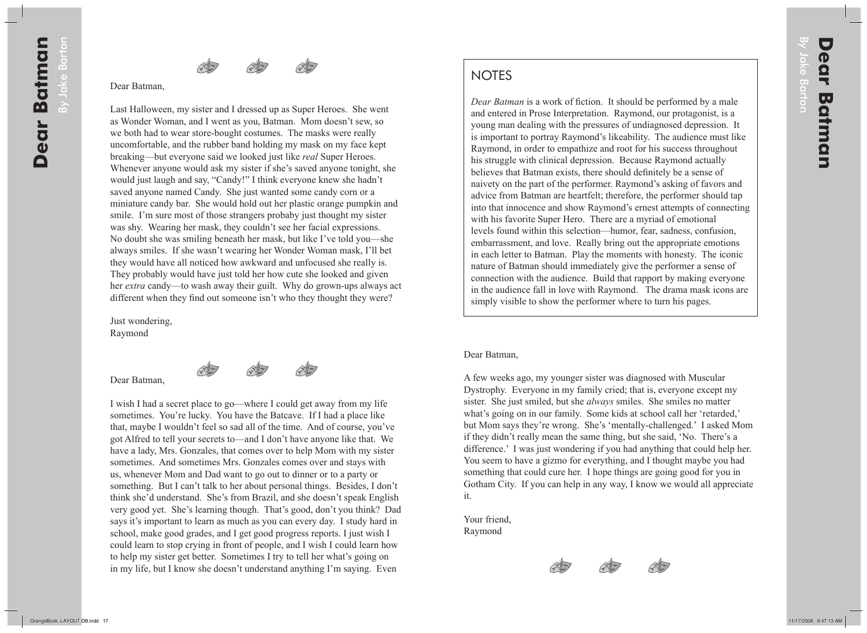## **NOTES**

*Dear Batman* is a work of fiction. It should be performed by a male and entered in Prose Interpretation. Raymond, our protagonist, is a young man dealing with the pressures of undiagnosed depression. It is important to portray Raymond's likeability. The audience must like Raymond, in order to empathize and root for his success throughout his struggle with clinical depression. Because Raymond actually believes that Batman exists, there should definitely be a sense of naivety on the part of the performer. Raymond's asking of favors and advice from Batman are heartfelt; therefore, the performer should tap into that innocence and show Raymond's ernest attempts of connecting with his favorite Super Hero. There are a myriad of emotional levels found within this selection—humor, fear, sadness, confusion, embarrassment, and love. Really bring out the appropriate emotions in each letter to Batman. Play the moments with honesty. The iconic nature of Batman should immediately give the performer a sense of connection with the audience. Build that rapport by making everyone in the audience fall in love with Raymond. The drama mask icons are simply visible to show the performer where to turn his pages.

## Dear Batman,

A few weeks ago, my younger sister was diagnosed with Muscular Dystrophy. Everyone in my family cried; that is, everyone except my sister. She just smiled, but she *always* smiles. She smiles no matter what's going on in our family. Some kids at school call her 'retarded,' but Mom says they're wrong. She's 'mentally-challenged.' I asked Mom if they didn't really mean the same thing, but she said, 'No. There's a difference.' I was just wondering if you had anything that could help her. You seem to have a gizmo for everything, and I thought maybe you had something that could cure her. I hope things are going good for you in Gotham City. If you can help in any way, I know we would all appreciate it.

Your friend, Raymond